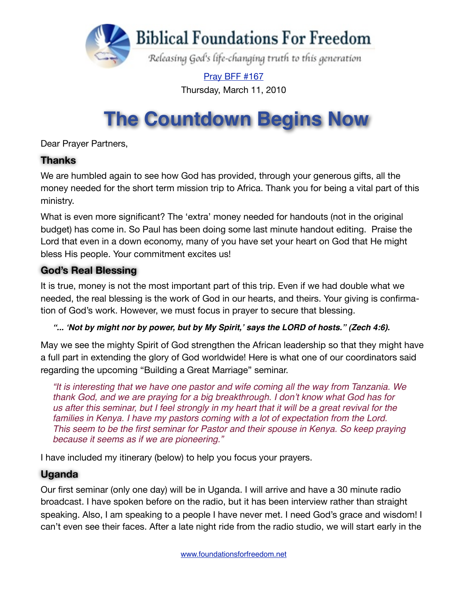

[Pray BFF #167](http://www.foundationsforfreedom.net/Help/TeamsF/Pray/Archives/Pray2010/pdf/PrayBFF167.pdf) Thursday, March 11, 2010

# **The Countdown Begins Now**

Dear Prayer Partners,

#### **Thanks**

We are humbled again to see how God has provided, through your generous gifts, all the money needed for the short term mission trip to Africa. Thank you for being a vital part of this ministry.

What is even more significant? The 'extra' money needed for handouts (not in the original budget) has come in. So Paul has been doing some last minute handout editing. Praise the Lord that even in a down economy, many of you have set your heart on God that He might bless His people. Your commitment excites us!

#### **God's Real Blessing**

It is true, money is not the most important part of this trip. Even if we had double what we needed, the real blessing is the work of God in our hearts, and theirs. Your giving is confirmation of God's work. However, we must focus in prayer to secure that blessing.

*"...* **ʻ***Not by might nor by power, but by My Spirit,***'** *says the LORD of hosts." (Zech 4:6).*

May we see the mighty Spirit of God strengthen the African leadership so that they might have a full part in extending the glory of God worldwide! Here is what one of our coordinators said regarding the upcoming ["Building a Great Marriage](http://www.foundationsforfreedom.net/Help/Store/Intros/BGMarriage.html)" seminar.

*"It is interesting that we have one pastor and wife coming all the way from Tanzania. We thank God, and we are praying for a big breakthrough. I don*'*t know what God has for us after this seminar, but I feel strongly in my heart that it will be a great revival for the*  families in Kenya. I have my pastors coming with a lot of expectation from the Lord. *This seem to be the first seminar for Pastor and their spouse in Kenya. So keep praying because it seems as if we are pioneering."*

I have included my itinerary (below) to help you focus your prayers.

#### **Uganda**

Our first seminar (only one day) will be in Uganda. I will arrive and have a 30 minute radio broadcast. I have spoken before on the radio, but it has been interview rather than straight speaking. Also, I am speaking to a people I have never met. I need God's grace and wisdom! I can't even see their faces. After a late night ride from the radio studio, we will start early in the